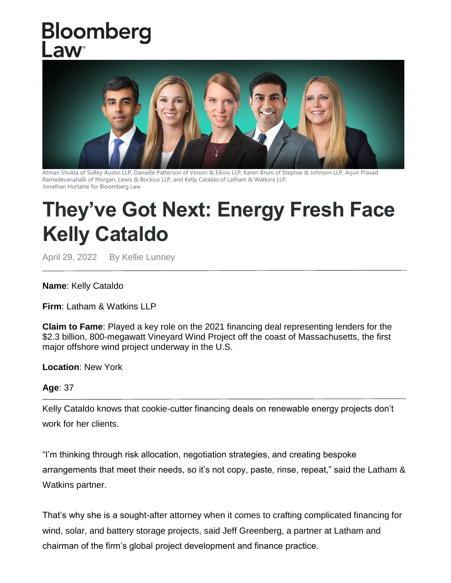## Bloomberg aw



Atman Shukla of Sidley Austin LLP, Danielle Patterson of Vinson & Elkins LLP, Karen Bruni of Steptoe & Johnson LLP, Arjun Prasad Ramadevanahalli of Morgan, Lewis & Bockius LLP, and Kelly Cataldo of Latham & Watkins LLP. Jonathan Hurtarte for Bloomberg Law

## **They've Got Next: Energy Fresh Face Kelly Cataldo**

April 29, 2022 By Kellie Lunney

## **Name**: Kelly Cataldo

**Firm**: Latham & Watkins LLP

**Claim to Fame**: Played a key role on the 2021 financing deal representing lenders for the \$2.3 billion, 800-megawatt Vineyard Wind Project off the coast of Massachusetts, the first major offshore wind project underway in the U.S.

**Location**: New York

## **Age**: 37

Kelly Cataldo knows that cookie-cutter financing deals on renewable energy projects don't work for her clients.

"I'm thinking through risk allocation, negotiation strategies, and creating bespoke arrangements that meet their needs, so it's not copy, paste, rinse, repeat," said the Latham & Watkins partner.

That's why she is a sought-after attorney when it comes to crafting complicated financing for wind, solar, and battery storage projects, said Jeff Greenberg, a partner at Latham and chairman of the firm's global project development and finance practice.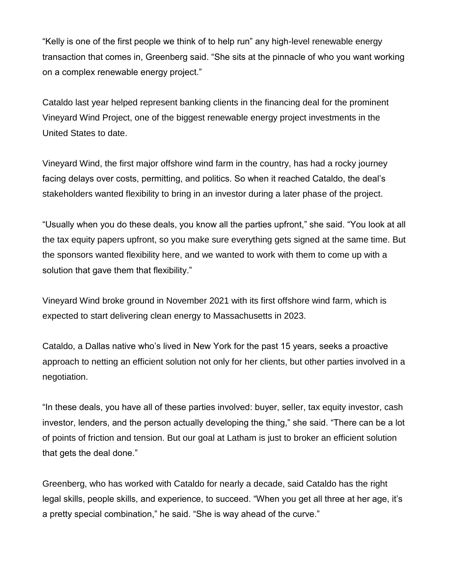"Kelly is one of the first people we think of to help run" any high-level renewable energy transaction that comes in, Greenberg said. "She sits at the pinnacle of who you want working on a complex renewable energy project."

Cataldo last year helped represent banking clients in the financing deal for the prominent Vineyard Wind Project, one of the biggest renewable energy project investments in the United States to date.

Vineyard Wind, the first major offshore wind farm in the country, has had a rocky journey facing delays over costs, permitting, and politics. So when it reached Cataldo, the deal's stakeholders wanted flexibility to bring in an investor during a later phase of the project.

"Usually when you do these deals, you know all the parties upfront," she said. "You look at all the tax equity papers upfront, so you make sure everything gets signed at the same time. But the sponsors wanted flexibility here, and we wanted to work with them to come up with a solution that gave them that flexibility."

Vineyard Wind broke ground in November 2021 with its first offshore wind farm, which is expected to start delivering clean energy to Massachusetts in 2023.

Cataldo, a Dallas native who's lived in New York for the past 15 years, seeks a proactive approach to netting an efficient solution not only for her clients, but other parties involved in a negotiation.

"In these deals, you have all of these parties involved: buyer, seller, tax equity investor, cash investor, lenders, and the person actually developing the thing," she said. "There can be a lot of points of friction and tension. But our goal at Latham is just to broker an efficient solution that gets the deal done."

Greenberg, who has worked with Cataldo for nearly a decade, said Cataldo has the right legal skills, people skills, and experience, to succeed. "When you get all three at her age, it's a pretty special combination," he said. "She is way ahead of the curve."